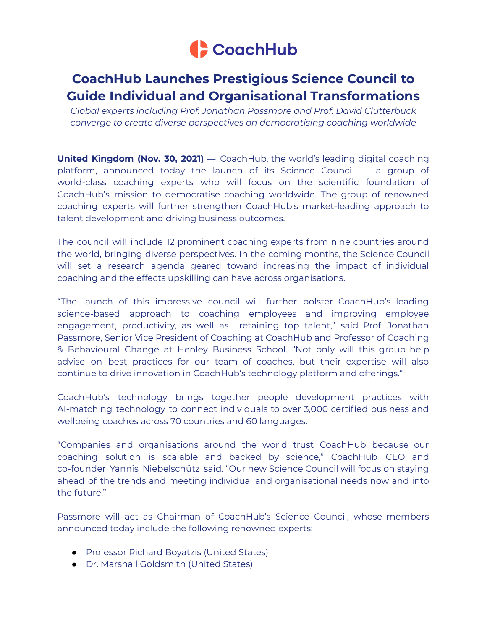

## **CoachHub Launches Prestigious Science Council to Guide Individual and Organisational Transformations**

*Global experts including Prof. Jonathan Passmore and Prof. David Clutterbuck converge to create diverse perspectives on democratising coaching worldwide*

**United Kingdom (Nov. 30, 2021)** — CoachHub, the world's leading digital coaching platform, announced today the launch of its Science Council — a group of world-class coaching experts who will focus on the scientific foundation of CoachHub's mission to democratise coaching worldwide. The group of renowned coaching experts will further strengthen CoachHub's market-leading approach to talent development and driving business outcomes.

The council will include 12 prominent coaching experts from nine countries around the world, bringing diverse perspectives. In the coming months, the Science Council will set a research agenda geared toward increasing the impact of individual coaching and the effects upskilling can have across organisations.

"The launch of this impressive council will further bolster CoachHub's leading science-based approach to coaching employees and improving employee engagement, productivity, as well as retaining top talent," said Prof. Jonathan Passmore, Senior Vice President of Coaching at CoachHub and Professor of Coaching & Behavioural Change at Henley Business School. "Not only will this group help advise on best practices for our team of coaches, but their expertise will also continue to drive innovation in CoachHub's technology platform and offerings."

CoachHub's technology brings together people development practices with AI-matching technology to connect individuals to over 3,000 certified business and wellbeing coaches across 70 countries and 60 languages.

"Companies and organisations around the world trust CoachHub because our coaching solution is scalable and backed by science," CoachHub CEO and co-founder Yannis Niebelschütz said. "Our new Science Council will focus on staying ahead of the trends and meeting individual and organisational needs now and into the future."

Passmore will act as Chairman of CoachHub's Science Council, whose members announced today include the following renowned experts:

- Professor Richard Boyatzis (United States)
- Dr. Marshall Goldsmith (United States)